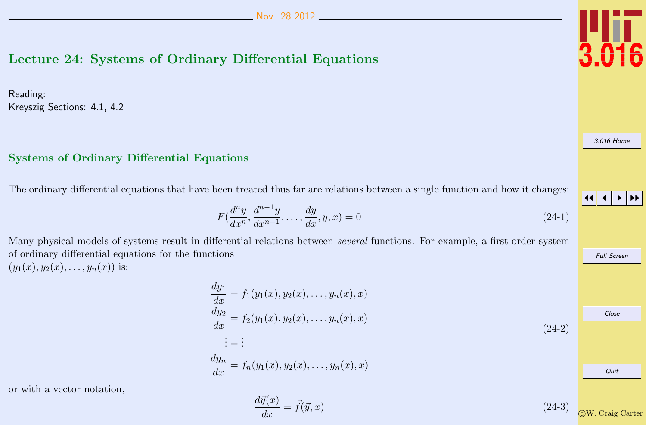## Lecture 24: Systems of Ordinary Differential Equations

Reading: Kreyszig Sections: 4.1, 4.2

## Systems of Ordinary Differential Equations

The ordinary differential equations that have been treated thus far are relations between a single function and how it changes:

$$
F(\frac{d^n y}{dx^n}, \frac{d^{n-1} y}{dx^{n-1}}, \dots, \frac{d y}{dx}, y, x) = 0
$$
\n(24-1)

Many physical models of systems result in differential relations between several functions. For example, a first-order system of ordinary differential equations for the functions  $(y_1(x), y_2(x), \ldots, y_n(x))$  is:

$$
\frac{dy_1}{dx} = f_1(y_1(x), y_2(x), \dots, y_n(x), x) \n\frac{dy_2}{dx} = f_2(y_1(x), y_2(x), \dots, y_n(x), x) \n\vdots = \vdots \n\frac{dy_n}{dx} = f_n(y_1(x), y_2(x), \dots, y_n(x), x)
$$
\n(24-2)

or with a vector notation,

$$
\frac{d\vec{y}(x)}{dx} = \vec{f}(\vec{y}, x) \tag{24-3}
$$

[3.016 Home](http://pruffle.mit.edu/3.016-2012/)



Full Screen

Close

Quit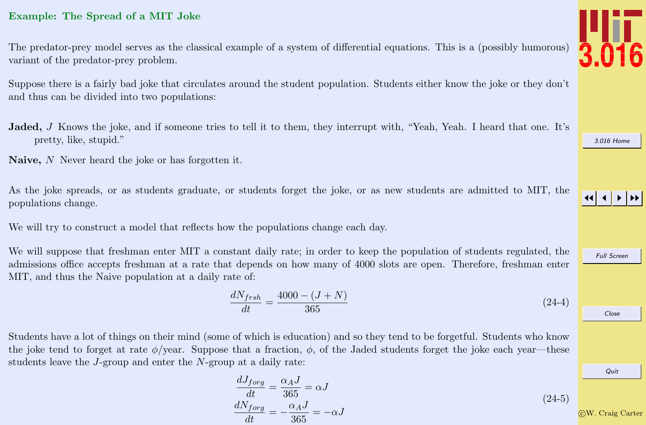## Example: The Spread of a MIT Joke

The predator-prey model serves as the classical example of a system of differential equations. This is a (possibly humorous) variant of the predator-prey problem.

Suppose there is a fairly bad joke that circulates around the student population. Students either know the joke or they don't and thus can be divided into two populations:

- Jaded, J Knows the joke, and if someone tries to tell it to them, they interrupt with, "Yeah, Yeah. I heard that one. It's pretty, like, stupid."
- Naive, N Never heard the joke or has forgotten it.

As the joke spreads, or as students graduate, or students forget the joke, or as new students are admitted to MIT, the populations change.

We will try to construct a model that reflects how the populations change each day.

We will suppose that freshman enter MIT a constant daily rate; in order to keep the population of students regulated, the admissions office accepts freshman at a rate that depends on how many of 4000 slots are open. Therefore, freshman enter MIT, and thus the Naive population at a daily rate of:

$$
\frac{dN_{frsh}}{dt} = \frac{4000 - (J + N)}{365} \tag{24-4}
$$

Students have a lot of things on their mind (some of which is education) and so they tend to be forgetful. Students who know the joke tend to forget at rate  $\phi$ /year. Suppose that a fraction,  $\phi$ , of the Jaded students forget the joke each year—these students leave the J-group and enter the N-group at a daily rate:

$$
\frac{dJ_{forg}}{dt} = \frac{\alpha_A J}{365} = \alpha J
$$
\n
$$
\frac{dN_{forg}}{dt} = -\frac{\alpha_A J}{365} = -\alpha J
$$
\n(24-5)\n(24-6)\n(24-7)\n(24-8)\n(24-9)\n(24-1)\n(24-1)\n(24-1)\n(24-2)\n(24-3)\n(24-4)\n(24-5)\n(24-5)\n(24-5)\n(24-6)\n(24-6)\n(24-7)\n(24-8)\n(24-9)\n(24-1)\n(24-1)\n(24-1)\n(24-1)\n(24-1)\n(24-1)\n(24-1)\n(24-1)\n(24-1)\n(24-1)\n(24-1)\n(24-1)\n(24-1)\n(24-1)\n(24-1)\n(24-1)\n(24-1)\n(24-1)\n(24-1)\n(24-1)\n(24-1)\n(24-1)\n(24-1)\n(24-1)\n(24-1)\n(24-1)\n(24-1)\n(24-1)\n(24-1)\n(24-1)\n(24-1)\n(24-1)\n(24-1)\n(24-1)\n(24-1)\n(24-1)\n(24-1)\n(24-1)\n(24-1)\n(24-1)\n(24-1)\n(24-1)\n(24-1)\n(24-1)\n(24-1)\n(24-1)\n(24-1)\n(24-1)\n(24-1)\n(24-1)\n(24-1)\n(24-1)\n(24-1)\n(24-1)\n(24-1)\n(24-1)\n(24-1)\n(24-1)\n(24-1)\n(24-1)\n(24-1)\n(24-1)\n(24-1)\n(24-1)\n(24-1)\n(24-1)\n(24-1)\n(24-1)\n(24-1)\n(24-1)\n(24-1)\n(24-1)\n(24-1)\n(24-1)\n(24-1)\n(24-1)\n(24-1)\n(24-1)\n(24-1)\n(24-1



[3.016 Home](http://pruffle.mit.edu/3.016-2012/)

JJ J I II

Full Screen

Close

Quit